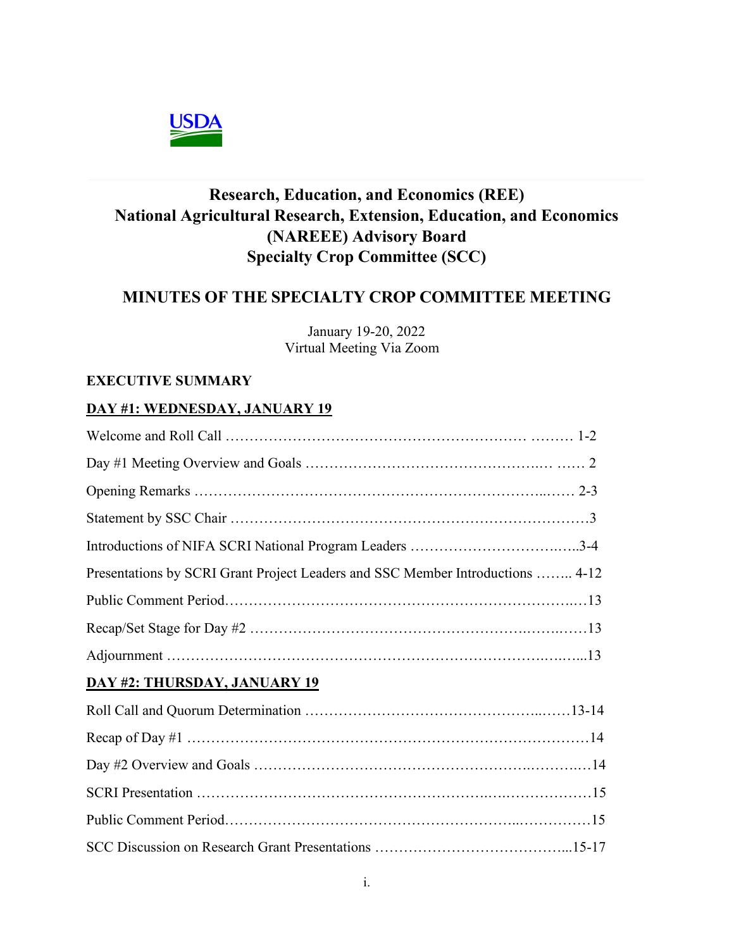

# **Research, Education, and Economics (REE) National Agricultural Research, Extension, Education, and Economics (NAREEE) Advisory Board Specialty Crop Committee (SCC)**

# **MINUTES OF THE SPECIALTY CROP COMMITTEE MEETING**

January 19-20, 2022 Virtual Meeting Via Zoom

#### **EXECUTIVE SUMMARY**

#### **DAY #1: WEDNESDAY, JANUARY 19**

| Presentations by SCRI Grant Project Leaders and SSC Member Introductions  4-12 |
|--------------------------------------------------------------------------------|
|                                                                                |
|                                                                                |
|                                                                                |
| DAY #2: THURSDAY, JANUARY 19                                                   |
|                                                                                |
|                                                                                |
|                                                                                |
|                                                                                |
|                                                                                |
|                                                                                |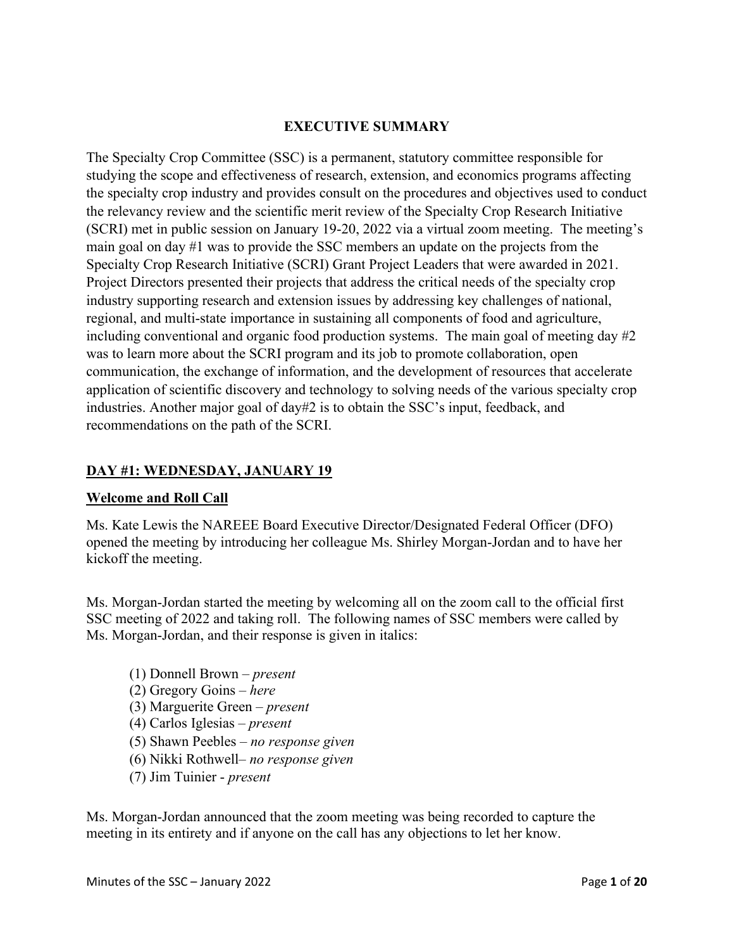#### **EXECUTIVE SUMMARY**

The Specialty Crop Committee (SSC) is a permanent, statutory committee responsible for studying the scope and effectiveness of research, extension, and economics programs affecting the specialty crop industry and provides consult on the procedures and objectives used to conduct the relevancy review and the scientific merit review of the Specialty Crop Research Initiative (SCRI) met in public session on January 19-20, 2022 via a virtual zoom meeting. The meeting's main goal on day #1 was to provide the SSC members an update on the projects from the Specialty Crop Research Initiative (SCRI) Grant Project Leaders that were awarded in 2021. Project Directors presented their projects that address the critical needs of the specialty crop industry supporting research and extension issues by addressing key challenges of national, regional, and multi-state importance in sustaining all components of food and agriculture, including conventional and organic food production systems. The main goal of meeting day #2 was to learn more about the SCRI program and its job to promote collaboration, open communication, the exchange of information, and the development of resources that accelerate application of scientific discovery and technology to solving needs of the various specialty crop industries. Another major goal of day#2 is to obtain the SSC's input, feedback, and recommendations on the path of the SCRI.

#### **DAY #1: WEDNESDAY, JANUARY 19**

#### **Welcome and Roll Call**

Ms. Kate Lewis the NAREEE Board Executive Director/Designated Federal Officer (DFO) opened the meeting by introducing her colleague Ms. Shirley Morgan-Jordan and to have her kickoff the meeting.

Ms. Morgan-Jordan started the meeting by welcoming all on the zoom call to the official first SSC meeting of 2022 and taking roll. The following names of SSC members were called by Ms. Morgan-Jordan, and their response is given in italics:

- (1) Donnell Brown *present* (2) Gregory Goins – *here* (3) Marguerite Green – *present* (4) Carlos Iglesias – *present* (5) Shawn Peebles – *no response given* (6) Nikki Rothwell– *no response given*
- (7) Jim Tuinier *present*

Ms. Morgan-Jordan announced that the zoom meeting was being recorded to capture the meeting in its entirety and if anyone on the call has any objections to let her know.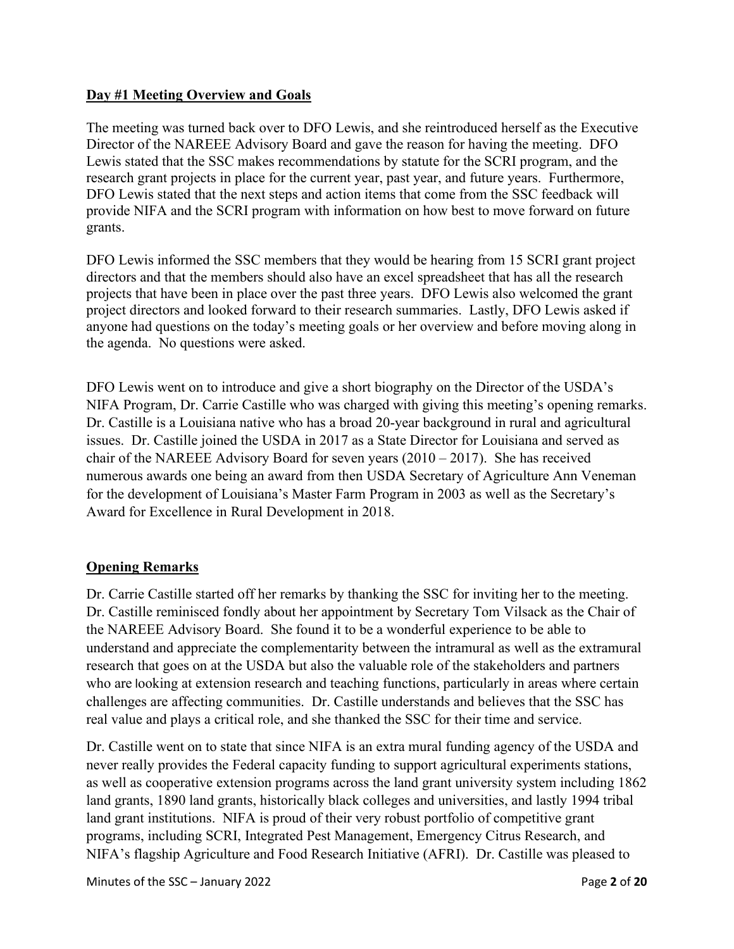#### **Day #1 Meeting Overview and Goals**

The meeting was turned back over to DFO Lewis, and she reintroduced herself as the Executive Director of the NAREEE Advisory Board and gave the reason for having the meeting. DFO Lewis stated that the SSC makes recommendations by statute for the SCRI program, and the research grant projects in place for the current year, past year, and future years. Furthermore, DFO Lewis stated that the next steps and action items that come from the SSC feedback will provide NIFA and the SCRI program with information on how best to move forward on future grants.

DFO Lewis informed the SSC members that they would be hearing from 15 SCRI grant project directors and that the members should also have an excel spreadsheet that has all the research projects that have been in place over the past three years. DFO Lewis also welcomed the grant project directors and looked forward to their research summaries. Lastly, DFO Lewis asked if anyone had questions on the today's meeting goals or her overview and before moving along in the agenda. No questions were asked.

DFO Lewis went on to introduce and give a short biography on the Director of the USDA's NIFA Program, Dr. Carrie Castille who was charged with giving this meeting's opening remarks. Dr. Castille is a Louisiana native who has a broad 20-year background in rural and agricultural issues. Dr. Castille joined the USDA in 2017 as a State Director for Louisiana and served as chair of the NAREEE Advisory Board for seven years (2010 – 2017). She has received numerous awards one being an award from then USDA Secretary of Agriculture Ann Veneman for the development of Louisiana's Master Farm Program in 2003 as well as the Secretary's Award for Excellence in Rural Development in 2018.

## **Opening Remarks**

Dr. Carrie Castille started off her remarks by thanking the SSC for inviting her to the meeting. Dr. Castille reminisced fondly about her appointment by Secretary Tom Vilsack as the Chair of the NAREEE Advisory Board. She found it to be a wonderful experience to be able to understand and appreciate the complementarity between the intramural as well as the extramural research that goes on at the USDA but also the valuable role of the stakeholders and partners who are looking at extension research and teaching functions, particularly in areas where certain challenges are affecting communities. Dr. Castille understands and believes that the SSC has real value and plays a critical role, and she thanked the SSC for their time and service.

Dr. Castille went on to state that since NIFA is an extra mural funding agency of the USDA and never really provides the Federal capacity funding to support agricultural experiments stations, as well as cooperative extension programs across the land grant university system including 1862 land grants, 1890 land grants, historically black colleges and universities, and lastly 1994 tribal land grant institutions. NIFA is proud of their very robust portfolio of competitive grant programs, including SCRI, Integrated Pest Management, Emergency Citrus Research, and NIFA's flagship Agriculture and Food Research Initiative (AFRI). Dr. Castille was pleased to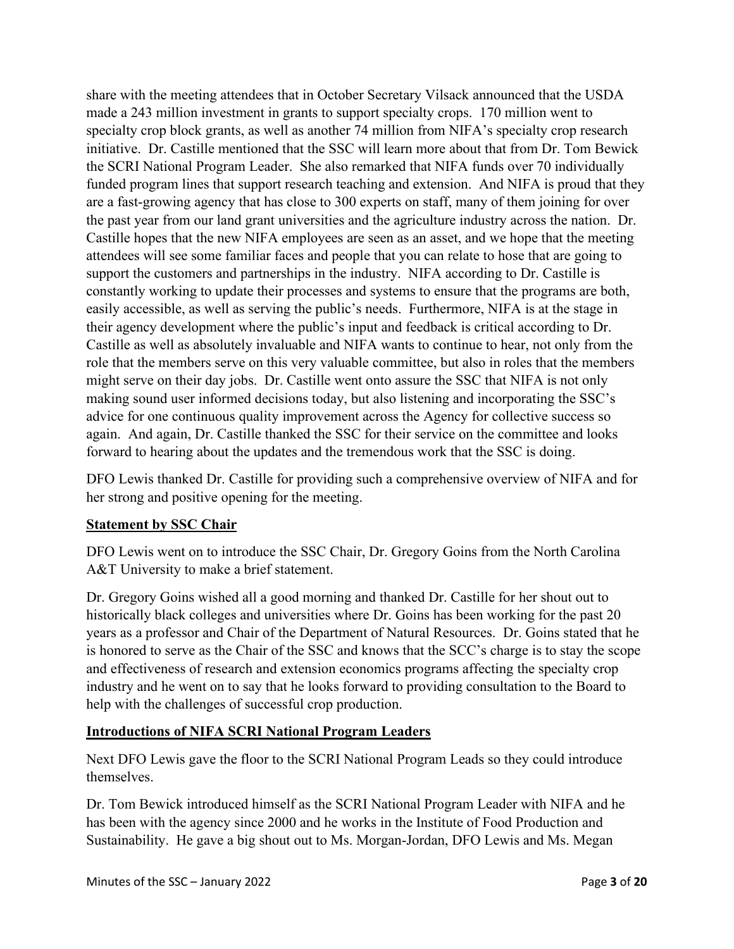share with the meeting attendees that in October Secretary Vilsack announced that the USDA made a 243 million investment in grants to support specialty crops. 170 million went to specialty crop block grants, as well as another 74 million from NIFA's specialty crop research initiative. Dr. Castille mentioned that the SSC will learn more about that from Dr. Tom Bewick the SCRI National Program Leader. She also remarked that NIFA funds over 70 individually funded program lines that support research teaching and extension. And NIFA is proud that they are a fast-growing agency that has close to 300 experts on staff, many of them joining for over the past year from our land grant universities and the agriculture industry across the nation. Dr. Castille hopes that the new NIFA employees are seen as an asset, and we hope that the meeting attendees will see some familiar faces and people that you can relate to hose that are going to support the customers and partnerships in the industry. NIFA according to Dr. Castille is constantly working to update their processes and systems to ensure that the programs are both, easily accessible, as well as serving the public's needs. Furthermore, NIFA is at the stage in their agency development where the public's input and feedback is critical according to Dr. Castille as well as absolutely invaluable and NIFA wants to continue to hear, not only from the role that the members serve on this very valuable committee, but also in roles that the members might serve on their day jobs. Dr. Castille went onto assure the SSC that NIFA is not only making sound user informed decisions today, but also listening and incorporating the SSC's advice for one continuous quality improvement across the Agency for collective success so again. And again, Dr. Castille thanked the SSC for their service on the committee and looks forward to hearing about the updates and the tremendous work that the SSC is doing.

DFO Lewis thanked Dr. Castille for providing such a comprehensive overview of NIFA and for her strong and positive opening for the meeting.

## **Statement by SSC Chair**

DFO Lewis went on to introduce the SSC Chair, Dr. Gregory Goins from the North Carolina A&T University to make a brief statement.

Dr. Gregory Goins wished all a good morning and thanked Dr. Castille for her shout out to historically black colleges and universities where Dr. Goins has been working for the past 20 years as a professor and Chair of the Department of Natural Resources. Dr. Goins stated that he is honored to serve as the Chair of the SSC and knows that the SCC's charge is to stay the scope and effectiveness of research and extension economics programs affecting the specialty crop industry and he went on to say that he looks forward to providing consultation to the Board to help with the challenges of successful crop production.

## **Introductions of NIFA SCRI National Program Leaders**

Next DFO Lewis gave the floor to the SCRI National Program Leads so they could introduce themselves.

Dr. Tom Bewick introduced himself as the SCRI National Program Leader with NIFA and he has been with the agency since 2000 and he works in the Institute of Food Production and Sustainability. He gave a big shout out to Ms. Morgan-Jordan, DFO Lewis and Ms. Megan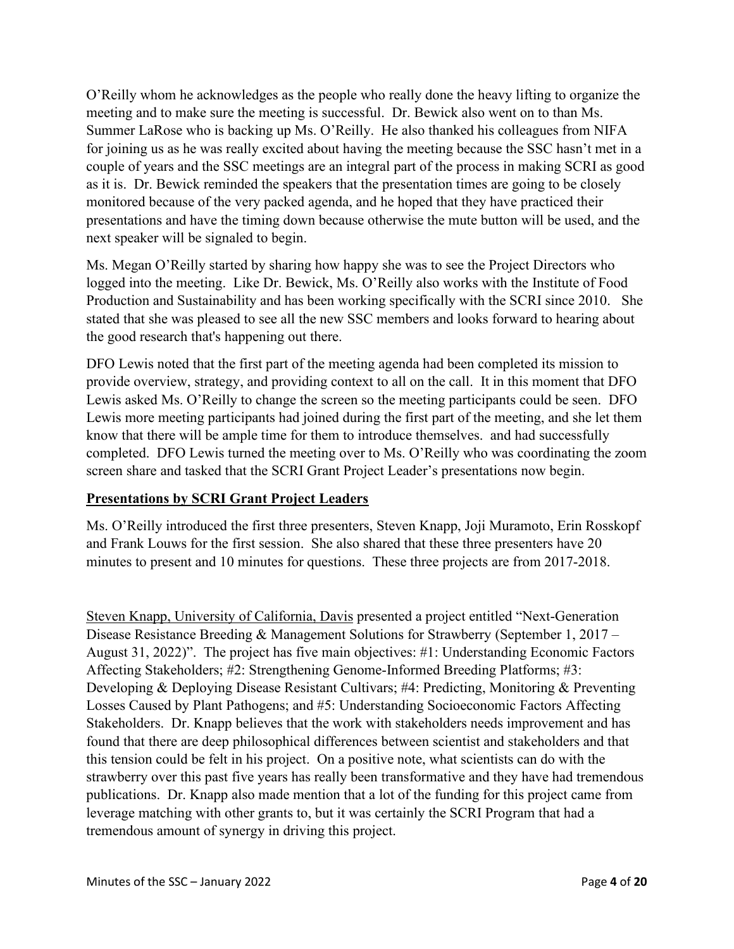O'Reilly whom he acknowledges as the people who really done the heavy lifting to organize the meeting and to make sure the meeting is successful. Dr. Bewick also went on to than Ms. Summer LaRose who is backing up Ms. O'Reilly. He also thanked his colleagues from NIFA for joining us as he was really excited about having the meeting because the SSC hasn't met in a couple of years and the SSC meetings are an integral part of the process in making SCRI as good as it is. Dr. Bewick reminded the speakers that the presentation times are going to be closely monitored because of the very packed agenda, and he hoped that they have practiced their presentations and have the timing down because otherwise the mute button will be used, and the next speaker will be signaled to begin.

Ms. Megan O'Reilly started by sharing how happy she was to see the Project Directors who logged into the meeting. Like Dr. Bewick, Ms. O'Reilly also works with the Institute of Food Production and Sustainability and has been working specifically with the SCRI since 2010. She stated that she was pleased to see all the new SSC members and looks forward to hearing about the good research that's happening out there.

DFO Lewis noted that the first part of the meeting agenda had been completed its mission to provide overview, strategy, and providing context to all on the call. It in this moment that DFO Lewis asked Ms. O'Reilly to change the screen so the meeting participants could be seen. DFO Lewis more meeting participants had joined during the first part of the meeting, and she let them know that there will be ample time for them to introduce themselves. and had successfully completed. DFO Lewis turned the meeting over to Ms. O'Reilly who was coordinating the zoom screen share and tasked that the SCRI Grant Project Leader's presentations now begin.

## **Presentations by SCRI Grant Project Leaders**

Ms. O'Reilly introduced the first three presenters, Steven Knapp, Joji Muramoto, Erin Rosskopf and Frank Louws for the first session. She also shared that these three presenters have 20 minutes to present and 10 minutes for questions. These three projects are from 2017-2018.

Steven Knapp, University of California, Davis presented a project entitled "Next-Generation Disease Resistance Breeding & Management Solutions for Strawberry (September 1, 2017 – August 31, 2022)". The project has five main objectives: #1: Understanding Economic Factors Affecting Stakeholders; #2: Strengthening Genome-Informed Breeding Platforms; #3: Developing & Deploying Disease Resistant Cultivars; #4: Predicting, Monitoring & Preventing Losses Caused by Plant Pathogens; and #5: Understanding Socioeconomic Factors Affecting Stakeholders. Dr. Knapp believes that the work with stakeholders needs improvement and has found that there are deep philosophical differences between scientist and stakeholders and that this tension could be felt in his project. On a positive note, what scientists can do with the strawberry over this past five years has really been transformative and they have had tremendous publications. Dr. Knapp also made mention that a lot of the funding for this project came from leverage matching with other grants to, but it was certainly the SCRI Program that had a tremendous amount of synergy in driving this project.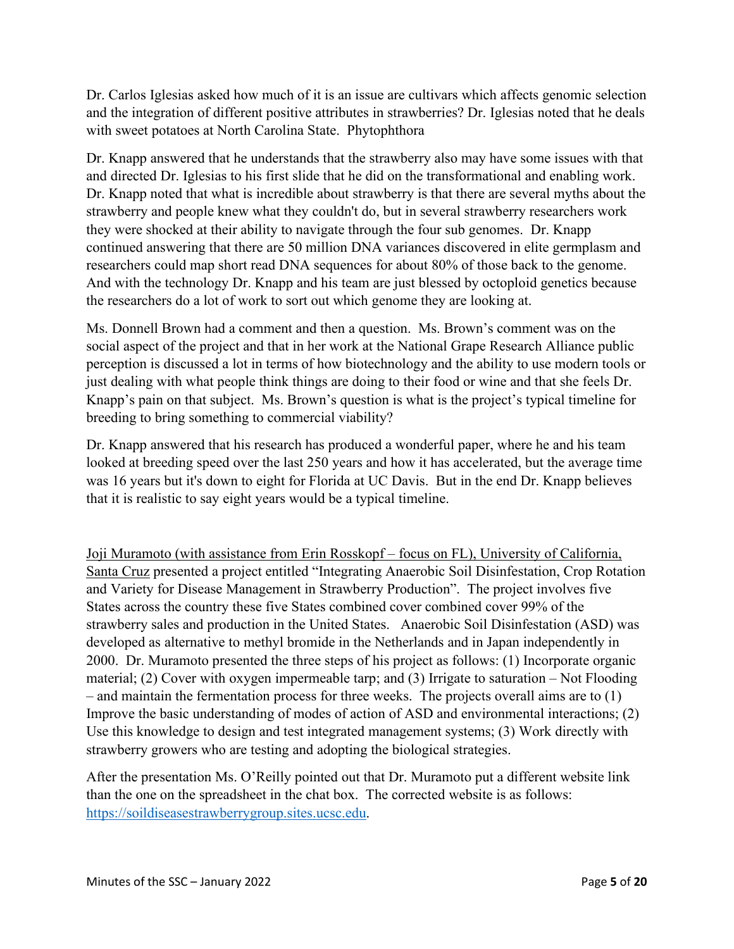Dr. Carlos Iglesias asked how much of it is an issue are cultivars which affects genomic selection and the integration of different positive attributes in strawberries? Dr. Iglesias noted that he deals with sweet potatoes at North Carolina State. Phytophthora

Dr. Knapp answered that he understands that the strawberry also may have some issues with that and directed Dr. Iglesias to his first slide that he did on the transformational and enabling work. Dr. Knapp noted that what is incredible about strawberry is that there are several myths about the strawberry and people knew what they couldn't do, but in several strawberry researchers work they were shocked at their ability to navigate through the four sub genomes. Dr. Knapp continued answering that there are 50 million DNA variances discovered in elite germplasm and researchers could map short read DNA sequences for about 80% of those back to the genome. And with the technology Dr. Knapp and his team are just blessed by octoploid genetics because the researchers do a lot of work to sort out which genome they are looking at.

Ms. Donnell Brown had a comment and then a question. Ms. Brown's comment was on the social aspect of the project and that in her work at the National Grape Research Alliance public perception is discussed a lot in terms of how biotechnology and the ability to use modern tools or just dealing with what people think things are doing to their food or wine and that she feels Dr. Knapp's pain on that subject. Ms. Brown's question is what is the project's typical timeline for breeding to bring something to commercial viability?

Dr. Knapp answered that his research has produced a wonderful paper, where he and his team looked at breeding speed over the last 250 years and how it has accelerated, but the average time was 16 years but it's down to eight for Florida at UC Davis. But in the end Dr. Knapp believes that it is realistic to say eight years would be a typical timeline.

Joji Muramoto (with assistance from Erin Rosskopf – focus on FL), University of California, Santa Cruz presented a project entitled "Integrating Anaerobic Soil Disinfestation, Crop Rotation and Variety for Disease Management in Strawberry Production". The project involves five States across the country these five States combined cover combined cover 99% of the strawberry sales and production in the United States. Anaerobic Soil Disinfestation (ASD) was developed as alternative to methyl bromide in the Netherlands and in Japan independently in 2000. Dr. Muramoto presented the three steps of his project as follows: (1) Incorporate organic material; (2) Cover with oxygen impermeable tarp; and (3) Irrigate to saturation – Not Flooding – and maintain the fermentation process for three weeks. The projects overall aims are to (1) Improve the basic understanding of modes of action of ASD and environmental interactions; (2) Use this knowledge to design and test integrated management systems; (3) Work directly with strawberry growers who are testing and adopting the biological strategies.

After the presentation Ms. O'Reilly pointed out that Dr. Muramoto put a different website link than the one on the spreadsheet in the chat box. The corrected website is as follows: [https://soildiseasestrawberrygroup.sites.ucsc.edu.](https://soildiseasestrawberrygroup.sites.ucsc.edu/)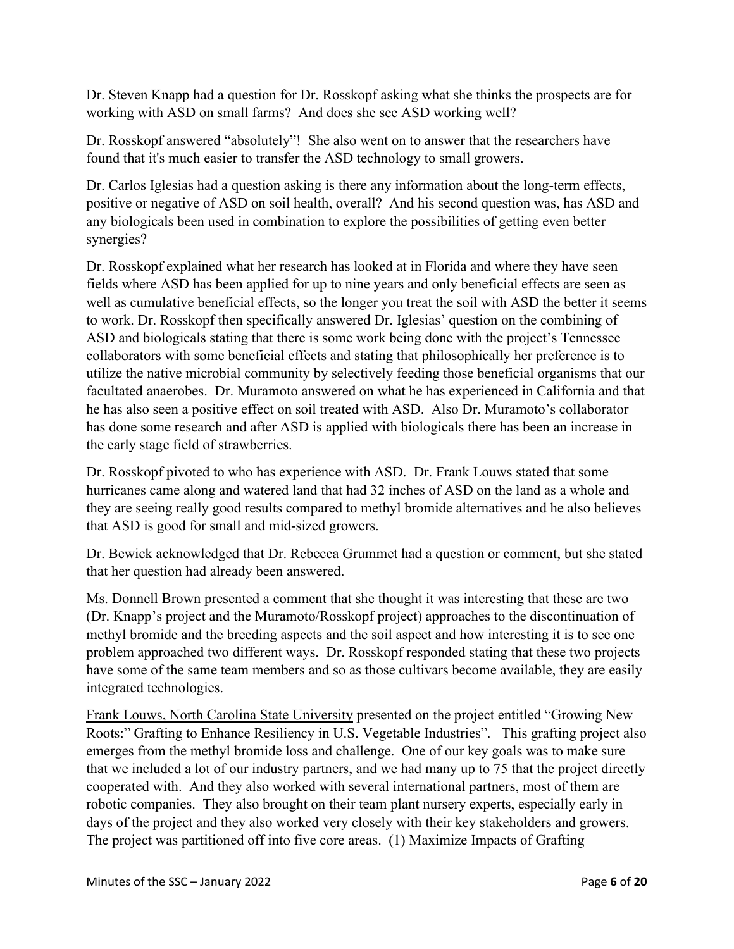Dr. Steven Knapp had a question for Dr. Rosskopf asking what she thinks the prospects are for working with ASD on small farms? And does she see ASD working well?

Dr. Rosskopf answered "absolutely"! She also went on to answer that the researchers have found that it's much easier to transfer the ASD technology to small growers.

Dr. Carlos Iglesias had a question asking is there any information about the long-term effects, positive or negative of ASD on soil health, overall? And his second question was, has ASD and any biologicals been used in combination to explore the possibilities of getting even better synergies?

Dr. Rosskopf explained what her research has looked at in Florida and where they have seen fields where ASD has been applied for up to nine years and only beneficial effects are seen as well as cumulative beneficial effects, so the longer you treat the soil with ASD the better it seems to work. Dr. Rosskopf then specifically answered Dr. Iglesias' question on the combining of ASD and biologicals stating that there is some work being done with the project's Tennessee collaborators with some beneficial effects and stating that philosophically her preference is to utilize the native microbial community by selectively feeding those beneficial organisms that our facultated anaerobes. Dr. Muramoto answered on what he has experienced in California and that he has also seen a positive effect on soil treated with ASD. Also Dr. Muramoto's collaborator has done some research and after ASD is applied with biologicals there has been an increase in the early stage field of strawberries.

Dr. Rosskopf pivoted to who has experience with ASD. Dr. Frank Louws stated that some hurricanes came along and watered land that had 32 inches of ASD on the land as a whole and they are seeing really good results compared to methyl bromide alternatives and he also believes that ASD is good for small and mid-sized growers.

Dr. Bewick acknowledged that Dr. Rebecca Grummet had a question or comment, but she stated that her question had already been answered.

Ms. Donnell Brown presented a comment that she thought it was interesting that these are two (Dr. Knapp's project and the Muramoto/Rosskopf project) approaches to the discontinuation of methyl bromide and the breeding aspects and the soil aspect and how interesting it is to see one problem approached two different ways. Dr. Rosskopf responded stating that these two projects have some of the same team members and so as those cultivars become available, they are easily integrated technologies.

Frank Louws, North Carolina State University presented on the project entitled "Growing New Roots:" Grafting to Enhance Resiliency in U.S. Vegetable Industries". This grafting project also emerges from the methyl bromide loss and challenge. One of our key goals was to make sure that we included a lot of our industry partners, and we had many up to 75 that the project directly cooperated with. And they also worked with several international partners, most of them are robotic companies. They also brought on their team plant nursery experts, especially early in days of the project and they also worked very closely with their key stakeholders and growers. The project was partitioned off into five core areas. (1) Maximize Impacts of Grafting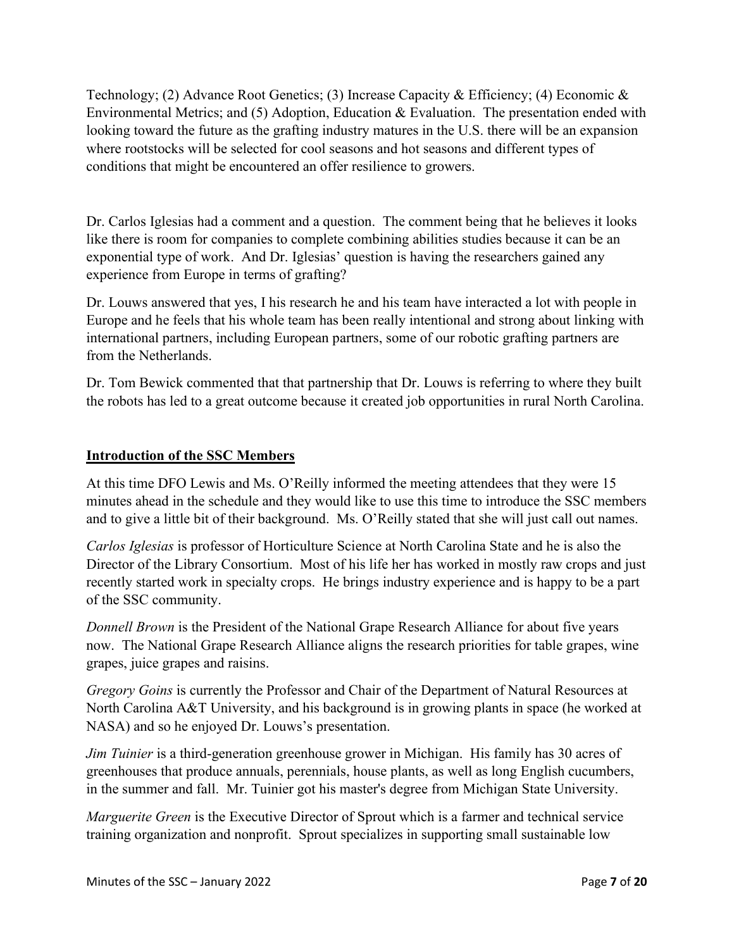Technology; (2) Advance Root Genetics; (3) Increase Capacity & Efficiency; (4) Economic & Environmental Metrics; and (5) Adoption, Education & Evaluation. The presentation ended with looking toward the future as the grafting industry matures in the U.S. there will be an expansion where rootstocks will be selected for cool seasons and hot seasons and different types of conditions that might be encountered an offer resilience to growers.

Dr. Carlos Iglesias had a comment and a question. The comment being that he believes it looks like there is room for companies to complete combining abilities studies because it can be an exponential type of work. And Dr. Iglesias' question is having the researchers gained any experience from Europe in terms of grafting?

Dr. Louws answered that yes, I his research he and his team have interacted a lot with people in Europe and he feels that his whole team has been really intentional and strong about linking with international partners, including European partners, some of our robotic grafting partners are from the Netherlands.

Dr. Tom Bewick commented that that partnership that Dr. Louws is referring to where they built the robots has led to a great outcome because it created job opportunities in rural North Carolina.

## **Introduction of the SSC Members**

At this time DFO Lewis and Ms. O'Reilly informed the meeting attendees that they were 15 minutes ahead in the schedule and they would like to use this time to introduce the SSC members and to give a little bit of their background. Ms. O'Reilly stated that she will just call out names.

*Carlos Iglesias* is professor of Horticulture Science at North Carolina State and he is also the Director of the Library Consortium. Most of his life her has worked in mostly raw crops and just recently started work in specialty crops. He brings industry experience and is happy to be a part of the SSC community.

*Donnell Brown* is the President of the National Grape Research Alliance for about five years now. The National Grape Research Alliance aligns the research priorities for table grapes, wine grapes, juice grapes and raisins.

*Gregory Goins* is currently the Professor and Chair of the Department of Natural Resources at North Carolina A&T University, and his background is in growing plants in space (he worked at NASA) and so he enjoyed Dr. Louws's presentation.

*Jim Tuinier* is a third-generation greenhouse grower in Michigan. His family has 30 acres of greenhouses that produce annuals, perennials, house plants, as well as long English cucumbers, in the summer and fall. Mr. Tuinier got his master's degree from Michigan State University.

*Marguerite Green* is the Executive Director of Sprout which is a farmer and technical service training organization and nonprofit. Sprout specializes in supporting small sustainable low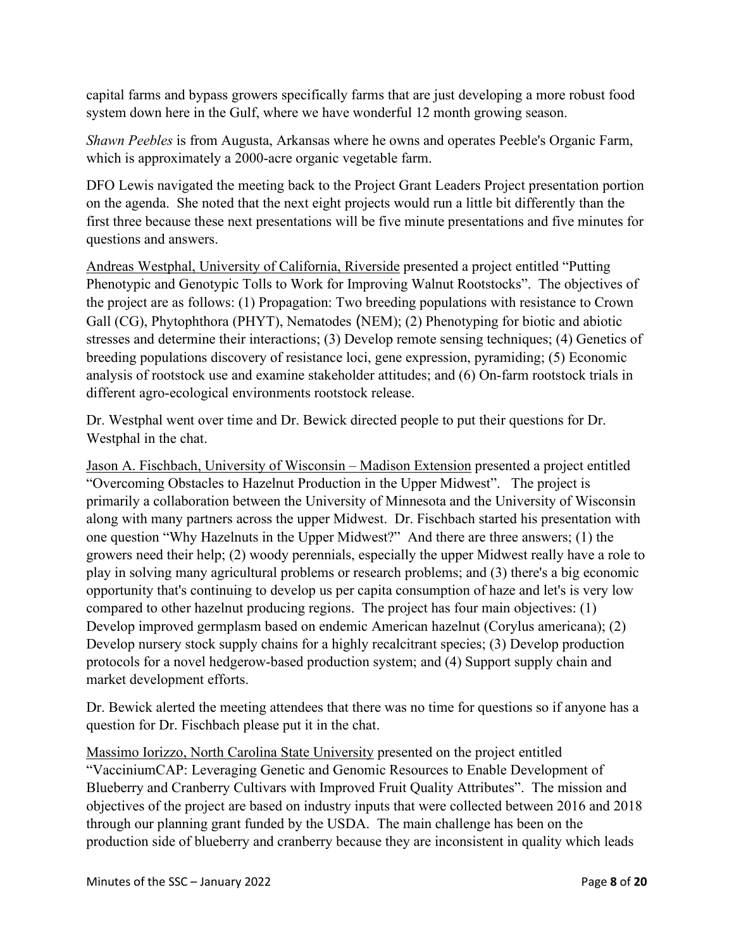capital farms and bypass growers specifically farms that are just developing a more robust food system down here in the Gulf, where we have wonderful 12 month growing season.

*Shawn Peebles* is from Augusta, Arkansas where he owns and operates Peeble's Organic Farm, which is approximately a 2000-acre organic vegetable farm.

DFO Lewis navigated the meeting back to the Project Grant Leaders Project presentation portion on the agenda. She noted that the next eight projects would run a little bit differently than the first three because these next presentations will be five minute presentations and five minutes for questions and answers.

Andreas Westphal, University of California, Riverside presented a project entitled "Putting Phenotypic and Genotypic Tolls to Work for Improving Walnut Rootstocks". The objectives of the project are as follows: (1) Propagation: Two breeding populations with resistance to Crown Gall (CG), Phytophthora (PHYT), Nematodes (NEM); (2) Phenotyping for biotic and abiotic stresses and determine their interactions; (3) Develop remote sensing techniques; (4) Genetics of breeding populations discovery of resistance loci, gene expression, pyramiding; (5) Economic analysis of rootstock use and examine stakeholder attitudes; and (6) On-farm rootstock trials in different agro-ecological environments rootstock release.

Dr. Westphal went over time and Dr. Bewick directed people to put their questions for Dr. Westphal in the chat.

Jason A. Fischbach, University of Wisconsin – Madison Extension presented a project entitled "Overcoming Obstacles to Hazelnut Production in the Upper Midwest". The project is primarily a collaboration between the University of Minnesota and the University of Wisconsin along with many partners across the upper Midwest. Dr. Fischbach started his presentation with one question "Why Hazelnuts in the Upper Midwest?" And there are three answers; (1) the growers need their help; (2) woody perennials, especially the upper Midwest really have a role to play in solving many agricultural problems or research problems; and (3) there's a big economic opportunity that's continuing to develop us per capita consumption of haze and let's is very low compared to other hazelnut producing regions. The project has four main objectives: (1) Develop improved germplasm based on endemic American hazelnut (Corylus americana); (2) Develop nursery stock supply chains for a highly recalcitrant species; (3) Develop production protocols for a novel hedgerow-based production system; and (4) Support supply chain and market development efforts.

Dr. Bewick alerted the meeting attendees that there was no time for questions so if anyone has a question for Dr. Fischbach please put it in the chat.

Massimo Iorizzo, North Carolina State University presented on the project entitled "VacciniumCAP: Leveraging Genetic and Genomic Resources to Enable Development of Blueberry and Cranberry Cultivars with Improved Fruit Quality Attributes". The mission and objectives of the project are based on industry inputs that were collected between 2016 and 2018 through our planning grant funded by the USDA. The main challenge has been on the production side of blueberry and cranberry because they are inconsistent in quality which leads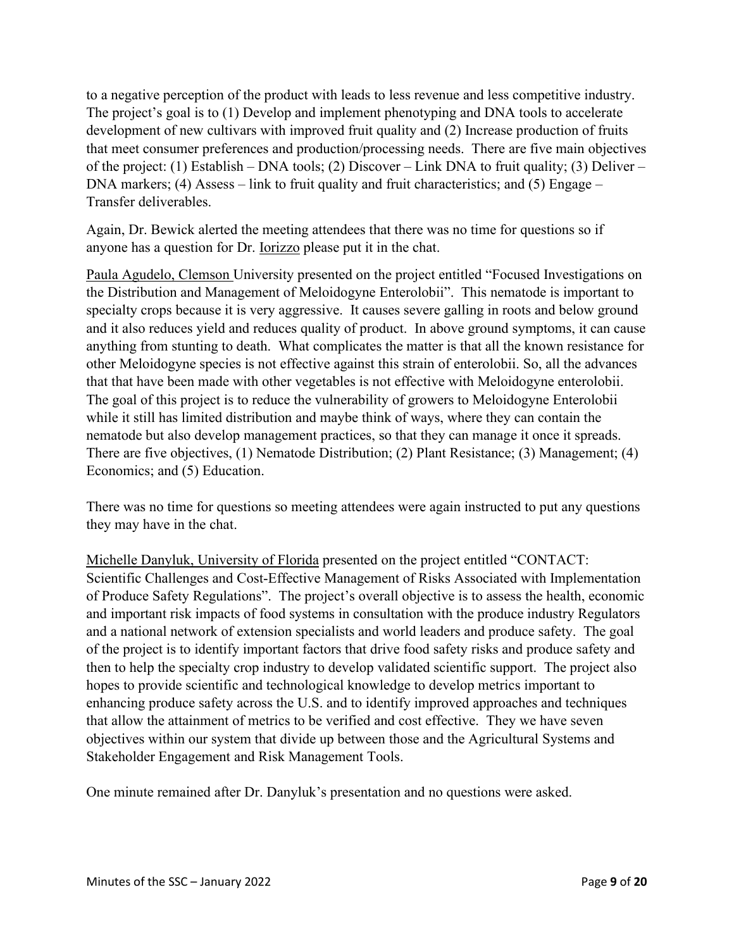to a negative perception of the product with leads to less revenue and less competitive industry. The project's goal is to (1) Develop and implement phenotyping and DNA tools to accelerate development of new cultivars with improved fruit quality and (2) Increase production of fruits that meet consumer preferences and production/processing needs. There are five main objectives of the project: (1) Establish – DNA tools; (2) Discover – Link DNA to fruit quality; (3) Deliver – DNA markers; (4) Assess – link to fruit quality and fruit characteristics; and (5) Engage – Transfer deliverables.

Again, Dr. Bewick alerted the meeting attendees that there was no time for questions so if anyone has a question for Dr. Iorizzo please put it in the chat.

Paula Agudelo, Clemson University presented on the project entitled "Focused Investigations on the Distribution and Management of Meloidogyne Enterolobii". This nematode is important to specialty crops because it is very aggressive. It causes severe galling in roots and below ground and it also reduces yield and reduces quality of product. In above ground symptoms, it can cause anything from stunting to death. What complicates the matter is that all the known resistance for other Meloidogyne species is not effective against this strain of enterolobii. So, all the advances that that have been made with other vegetables is not effective with Meloidogyne enterolobii. The goal of this project is to reduce the vulnerability of growers to Meloidogyne Enterolobii while it still has limited distribution and maybe think of ways, where they can contain the nematode but also develop management practices, so that they can manage it once it spreads. There are five objectives, (1) Nematode Distribution; (2) Plant Resistance; (3) Management; (4) Economics; and (5) Education.

There was no time for questions so meeting attendees were again instructed to put any questions they may have in the chat.

Michelle Danyluk, University of Florida presented on the project entitled "CONTACT: Scientific Challenges and Cost-Effective Management of Risks Associated with Implementation of Produce Safety Regulations". The project's overall objective is to assess the health, economic and important risk impacts of food systems in consultation with the produce industry Regulators and a national network of extension specialists and world leaders and produce safety. The goal of the project is to identify important factors that drive food safety risks and produce safety and then to help the specialty crop industry to develop validated scientific support. The project also hopes to provide scientific and technological knowledge to develop metrics important to enhancing produce safety across the U.S. and to identify improved approaches and techniques that allow the attainment of metrics to be verified and cost effective. They we have seven objectives within our system that divide up between those and the Agricultural Systems and Stakeholder Engagement and Risk Management Tools.

One minute remained after Dr. Danyluk's presentation and no questions were asked.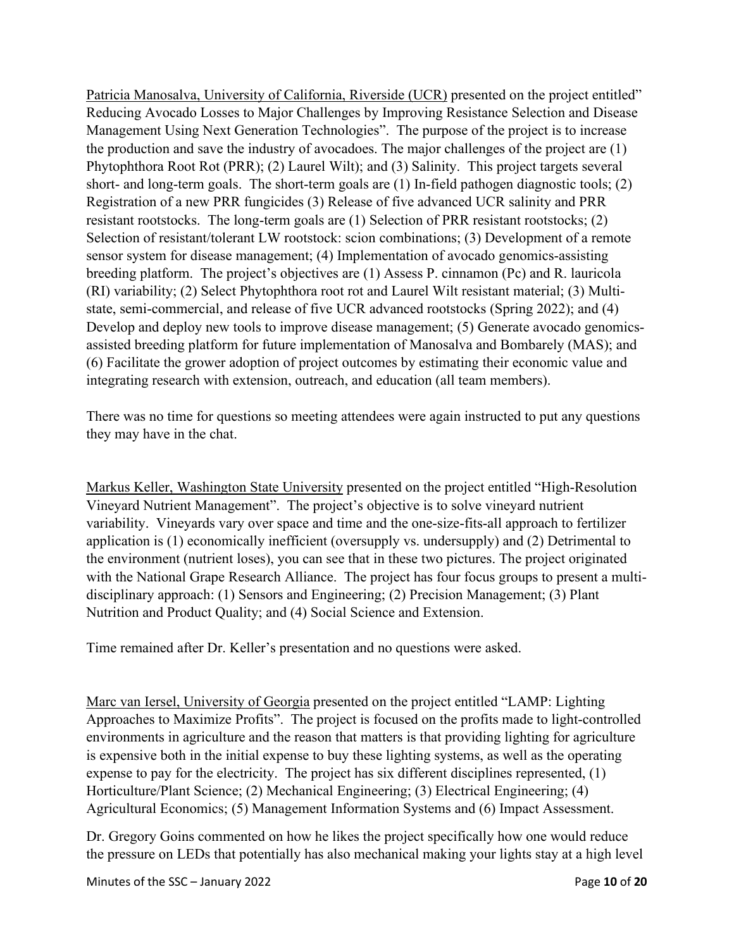Patricia Manosalva, University of California, Riverside (UCR) presented on the project entitled" Reducing Avocado Losses to Major Challenges by Improving Resistance Selection and Disease Management Using Next Generation Technologies". The purpose of the project is to increase the production and save the industry of avocadoes. The major challenges of the project are (1) Phytophthora Root Rot (PRR); (2) Laurel Wilt); and (3) Salinity. This project targets several short- and long-term goals. The short-term goals are (1) In-field pathogen diagnostic tools; (2) Registration of a new PRR fungicides (3) Release of five advanced UCR salinity and PRR resistant rootstocks. The long-term goals are (1) Selection of PRR resistant rootstocks; (2) Selection of resistant/tolerant LW rootstock: scion combinations; (3) Development of a remote sensor system for disease management; (4) Implementation of avocado genomics-assisting breeding platform. The project's objectives are (1) Assess P. cinnamon (Pc) and R. lauricola (RI) variability; (2) Select Phytophthora root rot and Laurel Wilt resistant material; (3) Multistate, semi-commercial, and release of five UCR advanced rootstocks (Spring 2022); and (4) Develop and deploy new tools to improve disease management; (5) Generate avocado genomicsassisted breeding platform for future implementation of Manosalva and Bombarely (MAS); and (6) Facilitate the grower adoption of project outcomes by estimating their economic value and integrating research with extension, outreach, and education (all team members).

There was no time for questions so meeting attendees were again instructed to put any questions they may have in the chat.

Markus Keller, Washington State University presented on the project entitled "High-Resolution Vineyard Nutrient Management". The project's objective is to solve vineyard nutrient variability. Vineyards vary over space and time and the one-size-fits-all approach to fertilizer application is (1) economically inefficient (oversupply vs. undersupply) and (2) Detrimental to the environment (nutrient loses), you can see that in these two pictures. The project originated with the National Grape Research Alliance. The project has four focus groups to present a multidisciplinary approach: (1) Sensors and Engineering; (2) Precision Management; (3) Plant Nutrition and Product Quality; and (4) Social Science and Extension.

Time remained after Dr. Keller's presentation and no questions were asked.

Marc van Iersel, University of Georgia presented on the project entitled "LAMP: Lighting Approaches to Maximize Profits". The project is focused on the profits made to light-controlled environments in agriculture and the reason that matters is that providing lighting for agriculture is expensive both in the initial expense to buy these lighting systems, as well as the operating expense to pay for the electricity. The project has six different disciplines represented, (1) Horticulture/Plant Science; (2) Mechanical Engineering; (3) Electrical Engineering; (4) Agricultural Economics; (5) Management Information Systems and (6) Impact Assessment.

Dr. Gregory Goins commented on how he likes the project specifically how one would reduce the pressure on LEDs that potentially has also mechanical making your lights stay at a high level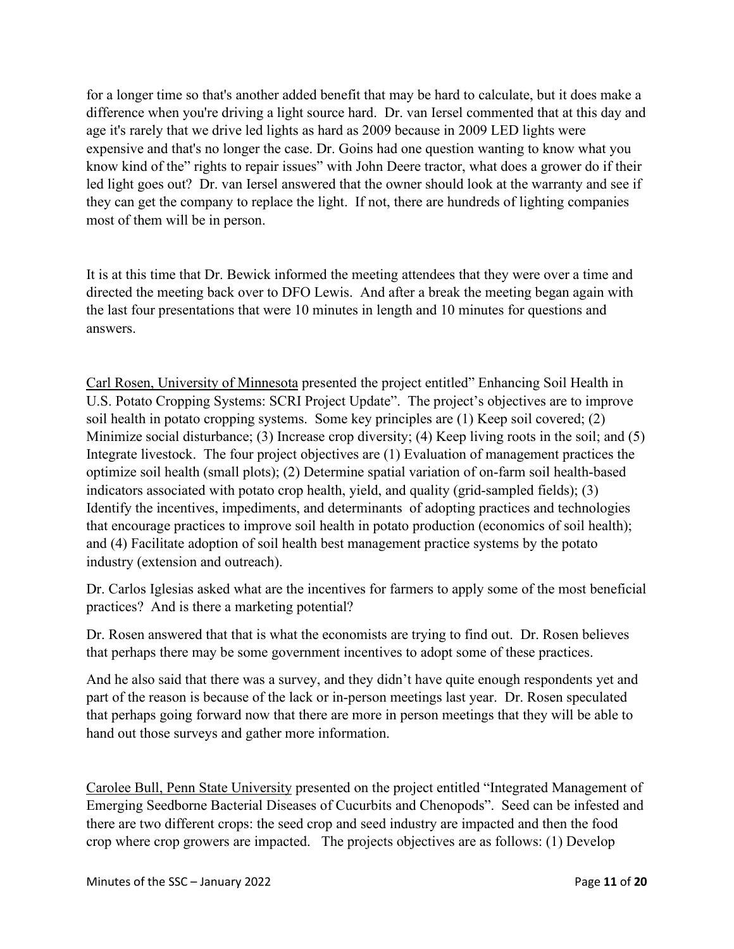for a longer time so that's another added benefit that may be hard to calculate, but it does make a difference when you're driving a light source hard. Dr. van Iersel commented that at this day and age it's rarely that we drive led lights as hard as 2009 because in 2009 LED lights were expensive and that's no longer the case. Dr. Goins had one question wanting to know what you know kind of the" rights to repair issues" with John Deere tractor, what does a grower do if their led light goes out? Dr. van Iersel answered that the owner should look at the warranty and see if they can get the company to replace the light. If not, there are hundreds of lighting companies most of them will be in person.

It is at this time that Dr. Bewick informed the meeting attendees that they were over a time and directed the meeting back over to DFO Lewis. And after a break the meeting began again with the last four presentations that were 10 minutes in length and 10 minutes for questions and answers.

Carl Rosen, University of Minnesota presented the project entitled" Enhancing Soil Health in U.S. Potato Cropping Systems: SCRI Project Update". The project's objectives are to improve soil health in potato cropping systems. Some key principles are (1) Keep soil covered; (2) Minimize social disturbance; (3) Increase crop diversity; (4) Keep living roots in the soil; and (5) Integrate livestock. The four project objectives are (1) Evaluation of management practices the optimize soil health (small plots); (2) Determine spatial variation of on-farm soil health-based indicators associated with potato crop health, yield, and quality (grid-sampled fields); (3) Identify the incentives, impediments, and determinants of adopting practices and technologies that encourage practices to improve soil health in potato production (economics of soil health); and (4) Facilitate adoption of soil health best management practice systems by the potato industry (extension and outreach).

Dr. Carlos Iglesias asked what are the incentives for farmers to apply some of the most beneficial practices? And is there a marketing potential?

Dr. Rosen answered that that is what the economists are trying to find out. Dr. Rosen believes that perhaps there may be some government incentives to adopt some of these practices.

And he also said that there was a survey, and they didn't have quite enough respondents yet and part of the reason is because of the lack or in-person meetings last year. Dr. Rosen speculated that perhaps going forward now that there are more in person meetings that they will be able to hand out those surveys and gather more information.

Carolee Bull, Penn State University presented on the project entitled "Integrated Management of Emerging Seedborne Bacterial Diseases of Cucurbits and Chenopods". Seed can be infested and there are two different crops: the seed crop and seed industry are impacted and then the food crop where crop growers are impacted. The projects objectives are as follows: (1) Develop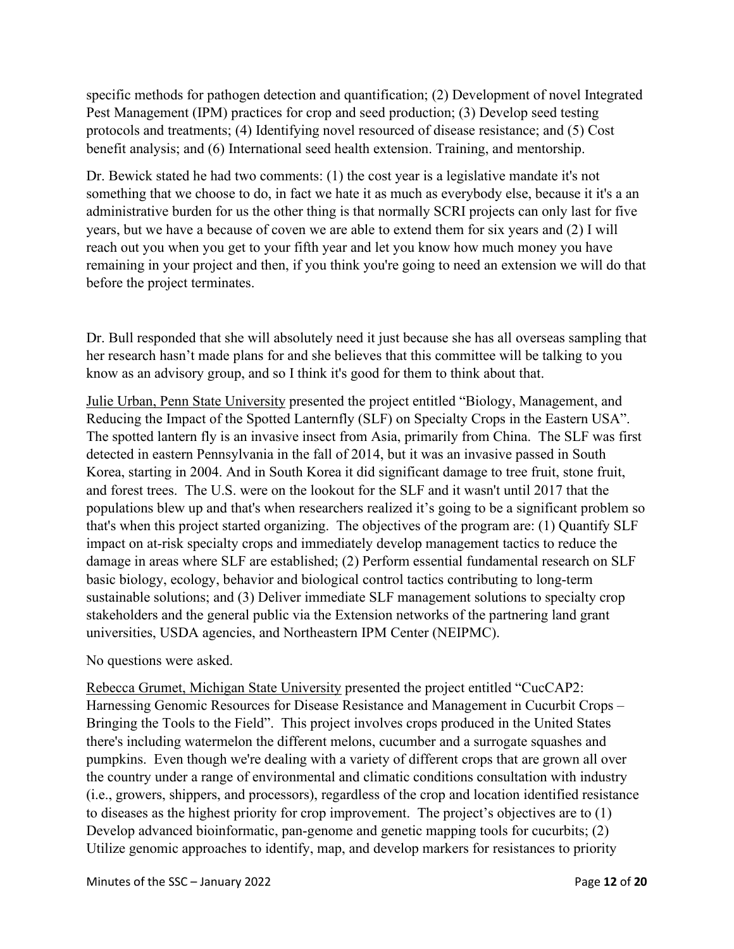specific methods for pathogen detection and quantification; (2) Development of novel Integrated Pest Management (IPM) practices for crop and seed production; (3) Develop seed testing protocols and treatments; (4) Identifying novel resourced of disease resistance; and (5) Cost benefit analysis; and (6) International seed health extension. Training, and mentorship.

Dr. Bewick stated he had two comments: (1) the cost year is a legislative mandate it's not something that we choose to do, in fact we hate it as much as everybody else, because it it's a an administrative burden for us the other thing is that normally SCRI projects can only last for five years, but we have a because of coven we are able to extend them for six years and (2) I will reach out you when you get to your fifth year and let you know how much money you have remaining in your project and then, if you think you're going to need an extension we will do that before the project terminates.

Dr. Bull responded that she will absolutely need it just because she has all overseas sampling that her research hasn't made plans for and she believes that this committee will be talking to you know as an advisory group, and so I think it's good for them to think about that.

Julie Urban, Penn State University presented the project entitled "Biology, Management, and Reducing the Impact of the Spotted Lanternfly (SLF) on Specialty Crops in the Eastern USA". The spotted lantern fly is an invasive insect from Asia, primarily from China. The SLF was first detected in eastern Pennsylvania in the fall of 2014, but it was an invasive passed in South Korea, starting in 2004. And in South Korea it did significant damage to tree fruit, stone fruit, and forest trees. The U.S. were on the lookout for the SLF and it wasn't until 2017 that the populations blew up and that's when researchers realized it's going to be a significant problem so that's when this project started organizing. The objectives of the program are: (1) Quantify SLF impact on at-risk specialty crops and immediately develop management tactics to reduce the damage in areas where SLF are established; (2) Perform essential fundamental research on SLF basic biology, ecology, behavior and biological control tactics contributing to long-term sustainable solutions; and (3) Deliver immediate SLF management solutions to specialty crop stakeholders and the general public via the Extension networks of the partnering land grant universities, USDA agencies, and Northeastern IPM Center (NEIPMC).

No questions were asked.

Rebecca Grumet, Michigan State University presented the project entitled "CucCAP2: Harnessing Genomic Resources for Disease Resistance and Management in Cucurbit Crops – Bringing the Tools to the Field". This project involves crops produced in the United States there's including watermelon the different melons, cucumber and a surrogate squashes and pumpkins. Even though we're dealing with a variety of different crops that are grown all over the country under a range of environmental and climatic conditions consultation with industry (i.e., growers, shippers, and processors), regardless of the crop and location identified resistance to diseases as the highest priority for crop improvement. The project's objectives are to (1) Develop advanced bioinformatic, pan-genome and genetic mapping tools for cucurbits; (2) Utilize genomic approaches to identify, map, and develop markers for resistances to priority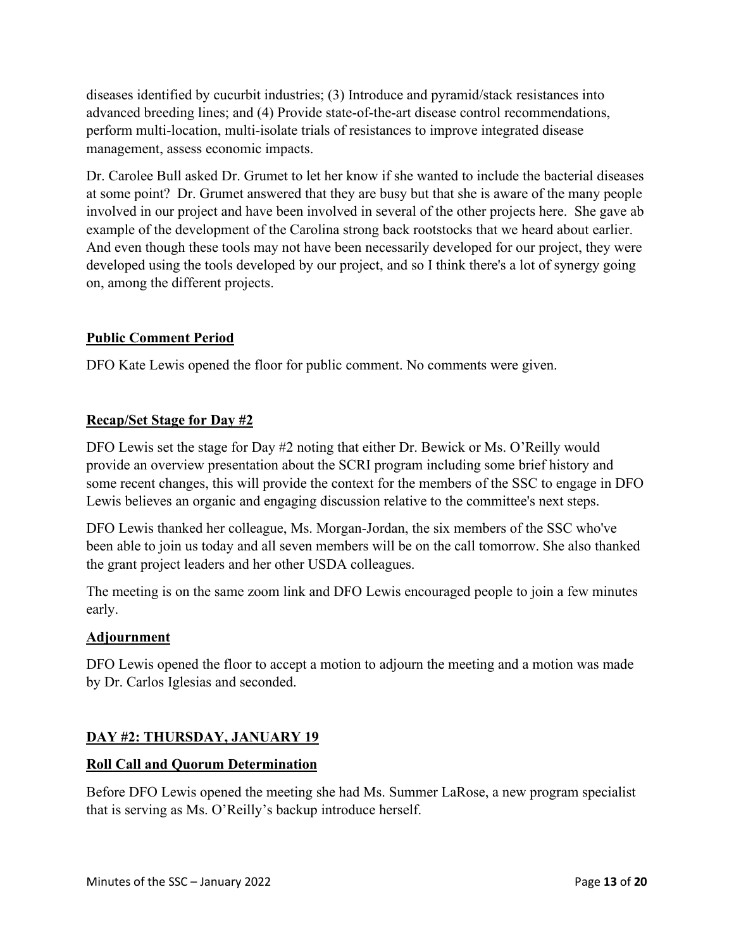diseases identified by cucurbit industries; (3) Introduce and pyramid/stack resistances into advanced breeding lines; and (4) Provide state-of-the-art disease control recommendations, perform multi-location, multi-isolate trials of resistances to improve integrated disease management, assess economic impacts.

Dr. Carolee Bull asked Dr. Grumet to let her know if she wanted to include the bacterial diseases at some point? Dr. Grumet answered that they are busy but that she is aware of the many people involved in our project and have been involved in several of the other projects here. She gave ab example of the development of the Carolina strong back rootstocks that we heard about earlier. And even though these tools may not have been necessarily developed for our project, they were developed using the tools developed by our project, and so I think there's a lot of synergy going on, among the different projects.

## **Public Comment Period**

DFO Kate Lewis opened the floor for public comment. No comments were given.

## **Recap/Set Stage for Day #2**

DFO Lewis set the stage for Day #2 noting that either Dr. Bewick or Ms. O'Reilly would provide an overview presentation about the SCRI program including some brief history and some recent changes, this will provide the context for the members of the SSC to engage in DFO Lewis believes an organic and engaging discussion relative to the committee's next steps.

DFO Lewis thanked her colleague, Ms. Morgan-Jordan, the six members of the SSC who've been able to join us today and all seven members will be on the call tomorrow. She also thanked the grant project leaders and her other USDA colleagues.

The meeting is on the same zoom link and DFO Lewis encouraged people to join a few minutes early.

## **Adjournment**

DFO Lewis opened the floor to accept a motion to adjourn the meeting and a motion was made by Dr. Carlos Iglesias and seconded.

## **DAY #2: THURSDAY, JANUARY 19**

## **Roll Call and Quorum Determination**

Before DFO Lewis opened the meeting she had Ms. Summer LaRose, a new program specialist that is serving as Ms. O'Reilly's backup introduce herself.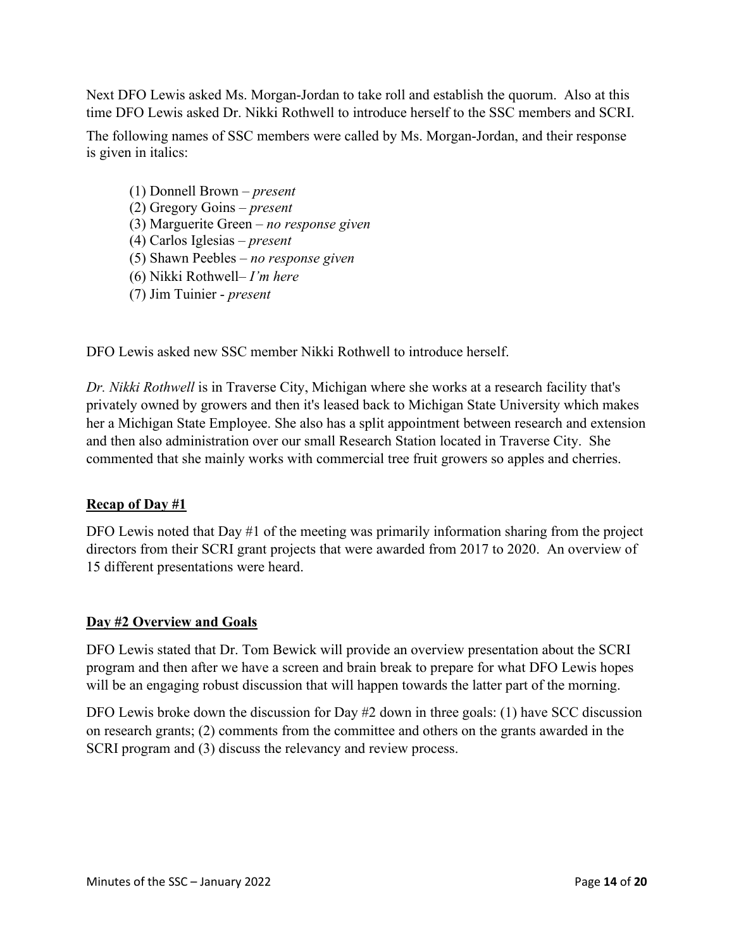Next DFO Lewis asked Ms. Morgan-Jordan to take roll and establish the quorum. Also at this time DFO Lewis asked Dr. Nikki Rothwell to introduce herself to the SSC members and SCRI.

The following names of SSC members were called by Ms. Morgan-Jordan, and their response is given in italics:

(1) Donnell Brown – *present* (2) Gregory Goins – *present* (3) Marguerite Green – *no response given* (4) Carlos Iglesias – *present* (5) Shawn Peebles – *no response given* (6) Nikki Rothwell– *I'm here* (7) Jim Tuinier - *present*

DFO Lewis asked new SSC member Nikki Rothwell to introduce herself.

*Dr. Nikki Rothwell* is in Traverse City, Michigan where she works at a research facility that's privately owned by growers and then it's leased back to Michigan State University which makes her a Michigan State Employee. She also has a split appointment between research and extension and then also administration over our small Research Station located in Traverse City. She commented that she mainly works with commercial tree fruit growers so apples and cherries.

# **Recap of Day #1**

DFO Lewis noted that Day #1 of the meeting was primarily information sharing from the project directors from their SCRI grant projects that were awarded from 2017 to 2020. An overview of 15 different presentations were heard.

# **Day #2 Overview and Goals**

DFO Lewis stated that Dr. Tom Bewick will provide an overview presentation about the SCRI program and then after we have a screen and brain break to prepare for what DFO Lewis hopes will be an engaging robust discussion that will happen towards the latter part of the morning.

DFO Lewis broke down the discussion for Day #2 down in three goals: (1) have SCC discussion on research grants; (2) comments from the committee and others on the grants awarded in the SCRI program and (3) discuss the relevancy and review process.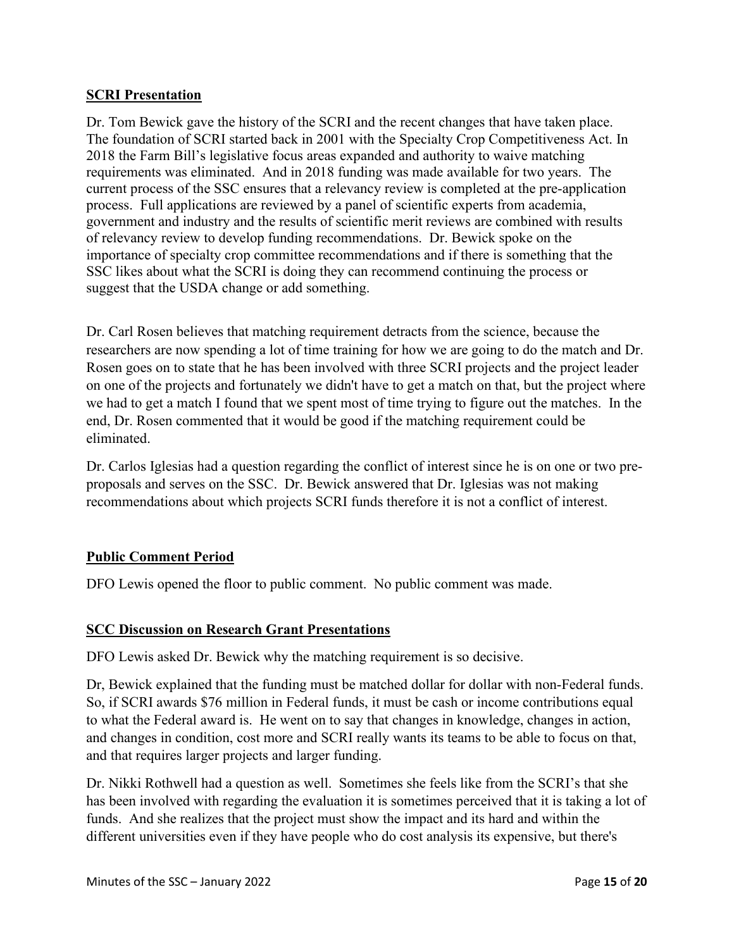#### **SCRI Presentation**

Dr. Tom Bewick gave the history of the SCRI and the recent changes that have taken place. The foundation of SCRI started back in 2001 with the Specialty Crop Competitiveness Act. In 2018 the Farm Bill's legislative focus areas expanded and authority to waive matching requirements was eliminated. And in 2018 funding was made available for two years. The current process of the SSC ensures that a relevancy review is completed at the pre-application process. Full applications are reviewed by a panel of scientific experts from academia, government and industry and the results of scientific merit reviews are combined with results of relevancy review to develop funding recommendations. Dr. Bewick spoke on the importance of specialty crop committee recommendations and if there is something that the SSC likes about what the SCRI is doing they can recommend continuing the process or suggest that the USDA change or add something.

Dr. Carl Rosen believes that matching requirement detracts from the science, because the researchers are now spending a lot of time training for how we are going to do the match and Dr. Rosen goes on to state that he has been involved with three SCRI projects and the project leader on one of the projects and fortunately we didn't have to get a match on that, but the project where we had to get a match I found that we spent most of time trying to figure out the matches. In the end, Dr. Rosen commented that it would be good if the matching requirement could be eliminated.

Dr. Carlos Iglesias had a question regarding the conflict of interest since he is on one or two preproposals and serves on the SSC. Dr. Bewick answered that Dr. Iglesias was not making recommendations about which projects SCRI funds therefore it is not a conflict of interest.

## **Public Comment Period**

DFO Lewis opened the floor to public comment. No public comment was made.

#### **SCC Discussion on Research Grant Presentations**

DFO Lewis asked Dr. Bewick why the matching requirement is so decisive.

Dr, Bewick explained that the funding must be matched dollar for dollar with non-Federal funds. So, if SCRI awards \$76 million in Federal funds, it must be cash or income contributions equal to what the Federal award is. He went on to say that changes in knowledge, changes in action, and changes in condition, cost more and SCRI really wants its teams to be able to focus on that, and that requires larger projects and larger funding.

Dr. Nikki Rothwell had a question as well. Sometimes she feels like from the SCRI's that she has been involved with regarding the evaluation it is sometimes perceived that it is taking a lot of funds. And she realizes that the project must show the impact and its hard and within the different universities even if they have people who do cost analysis its expensive, but there's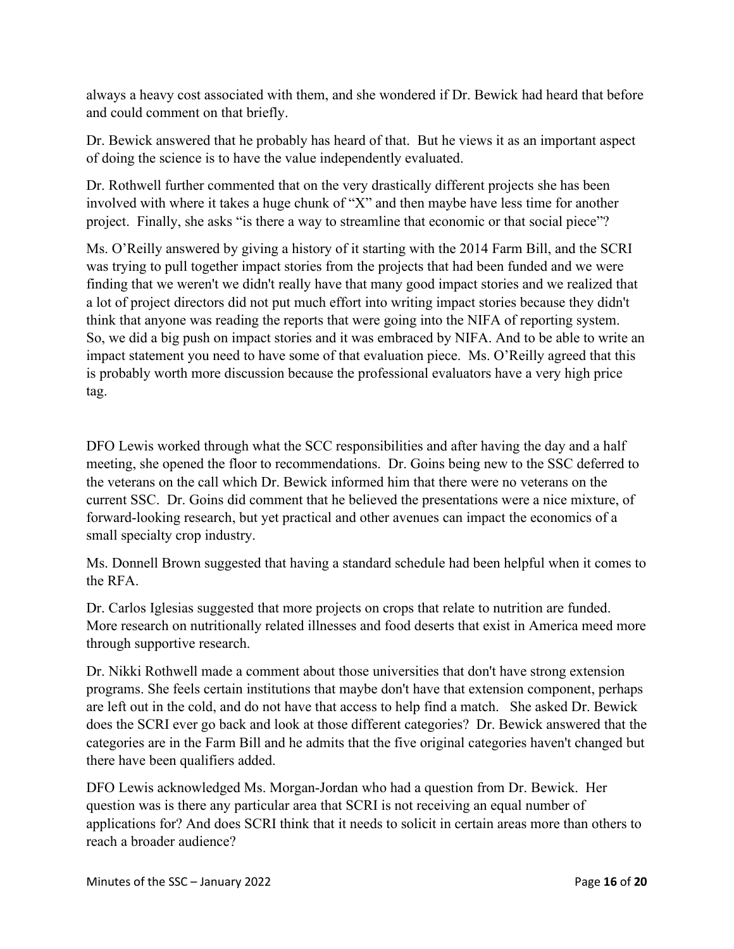always a heavy cost associated with them, and she wondered if Dr. Bewick had heard that before and could comment on that briefly.

Dr. Bewick answered that he probably has heard of that. But he views it as an important aspect of doing the science is to have the value independently evaluated.

Dr. Rothwell further commented that on the very drastically different projects she has been involved with where it takes a huge chunk of "X" and then maybe have less time for another project. Finally, she asks "is there a way to streamline that economic or that social piece"?

Ms. O'Reilly answered by giving a history of it starting with the 2014 Farm Bill, and the SCRI was trying to pull together impact stories from the projects that had been funded and we were finding that we weren't we didn't really have that many good impact stories and we realized that a lot of project directors did not put much effort into writing impact stories because they didn't think that anyone was reading the reports that were going into the NIFA of reporting system. So, we did a big push on impact stories and it was embraced by NIFA. And to be able to write an impact statement you need to have some of that evaluation piece. Ms. O'Reilly agreed that this is probably worth more discussion because the professional evaluators have a very high price tag.

DFO Lewis worked through what the SCC responsibilities and after having the day and a half meeting, she opened the floor to recommendations. Dr. Goins being new to the SSC deferred to the veterans on the call which Dr. Bewick informed him that there were no veterans on the current SSC. Dr. Goins did comment that he believed the presentations were a nice mixture, of forward-looking research, but yet practical and other avenues can impact the economics of a small specialty crop industry.

Ms. Donnell Brown suggested that having a standard schedule had been helpful when it comes to the RFA.

Dr. Carlos Iglesias suggested that more projects on crops that relate to nutrition are funded. More research on nutritionally related illnesses and food deserts that exist in America meed more through supportive research.

Dr. Nikki Rothwell made a comment about those universities that don't have strong extension programs. She feels certain institutions that maybe don't have that extension component, perhaps are left out in the cold, and do not have that access to help find a match. She asked Dr. Bewick does the SCRI ever go back and look at those different categories? Dr. Bewick answered that the categories are in the Farm Bill and he admits that the five original categories haven't changed but there have been qualifiers added.

DFO Lewis acknowledged Ms. Morgan-Jordan who had a question from Dr. Bewick. Her question was is there any particular area that SCRI is not receiving an equal number of applications for? And does SCRI think that it needs to solicit in certain areas more than others to reach a broader audience?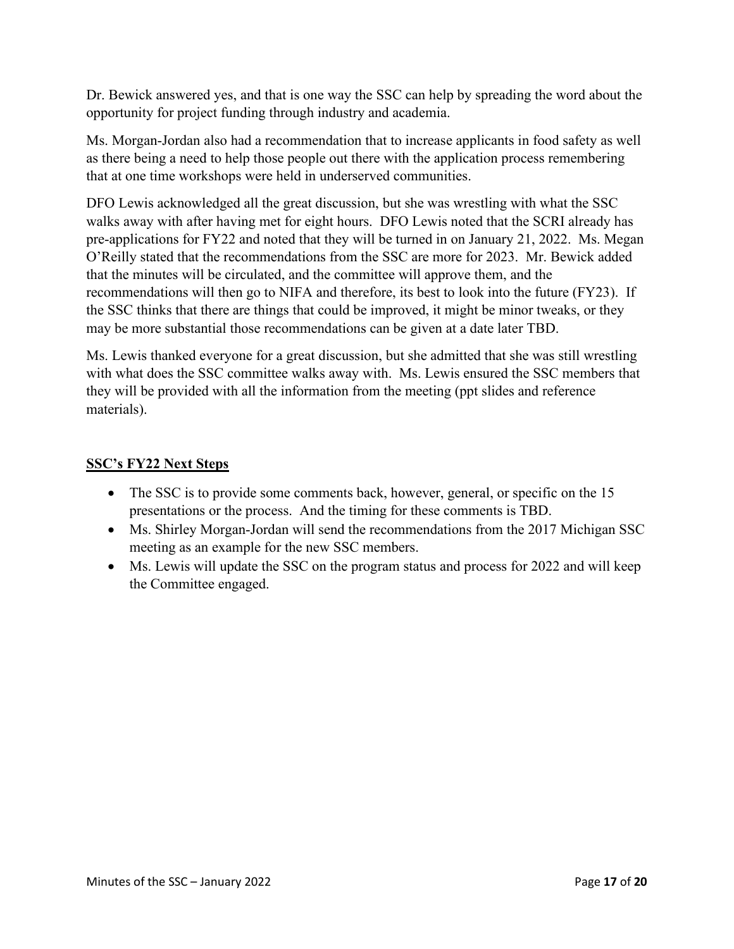Dr. Bewick answered yes, and that is one way the SSC can help by spreading the word about the opportunity for project funding through industry and academia.

Ms. Morgan-Jordan also had a recommendation that to increase applicants in food safety as well as there being a need to help those people out there with the application process remembering that at one time workshops were held in underserved communities.

DFO Lewis acknowledged all the great discussion, but she was wrestling with what the SSC walks away with after having met for eight hours. DFO Lewis noted that the SCRI already has pre-applications for FY22 and noted that they will be turned in on January 21, 2022. Ms. Megan O'Reilly stated that the recommendations from the SSC are more for 2023. Mr. Bewick added that the minutes will be circulated, and the committee will approve them, and the recommendations will then go to NIFA and therefore, its best to look into the future (FY23). If the SSC thinks that there are things that could be improved, it might be minor tweaks, or they may be more substantial those recommendations can be given at a date later TBD.

Ms. Lewis thanked everyone for a great discussion, but she admitted that she was still wrestling with what does the SSC committee walks away with. Ms. Lewis ensured the SSC members that they will be provided with all the information from the meeting (ppt slides and reference materials).

## **SSC's FY22 Next Steps**

- The SSC is to provide some comments back, however, general, or specific on the 15 presentations or the process. And the timing for these comments is TBD.
- Ms. Shirley Morgan-Jordan will send the recommendations from the 2017 Michigan SSC meeting as an example for the new SSC members.
- Ms. Lewis will update the SSC on the program status and process for 2022 and will keep the Committee engaged.